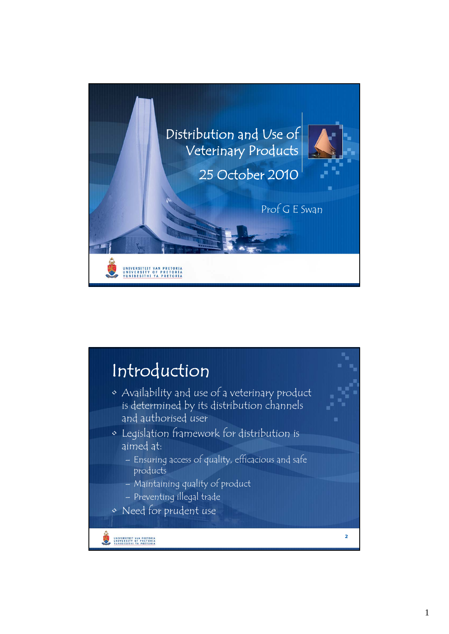

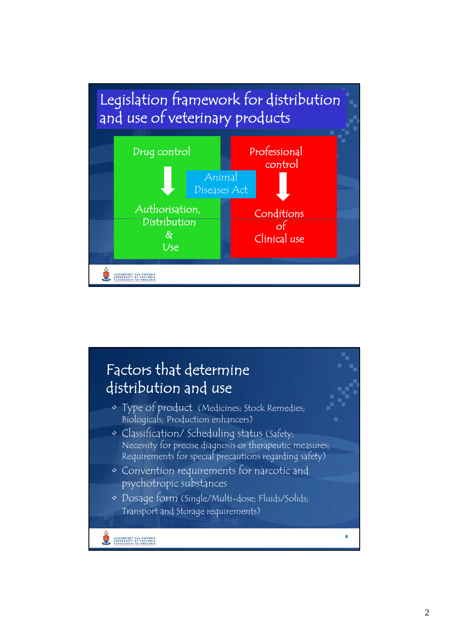

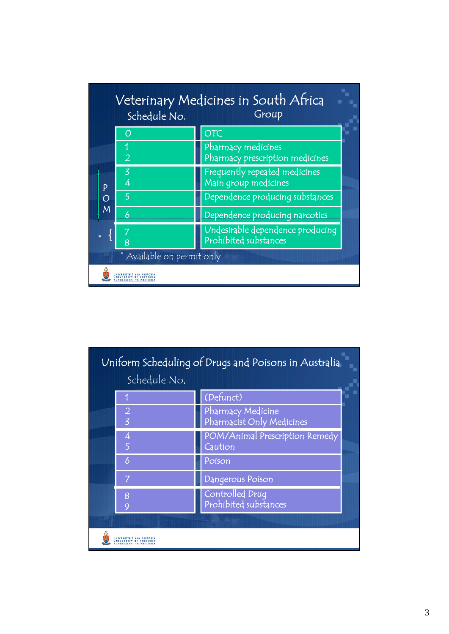|                            | Schedule No.   | Veterinary Medicines in South Africa<br>Group             |
|----------------------------|----------------|-----------------------------------------------------------|
| P<br>O<br>M                |                | OTC                                                       |
|                            | $\overline{2}$ | Pharmacy medicines<br>Pharmacy prescription medicines     |
|                            | 3<br>4         | Frequently repeated medicines<br>Main group medicines     |
|                            | 5              | Dependence producing substances                           |
|                            | 6              | Dependence producing narcotics                            |
|                            | 8              | Undesirable dependence producing<br>Prohibited substances |
| * Available on permit only |                |                                                           |
|                            |                |                                                           |

| Uniform Scheduling of Drugs and Poisons in Australia |                                  |                                                |  |
|------------------------------------------------------|----------------------------------|------------------------------------------------|--|
|                                                      | Schedule No.                     |                                                |  |
|                                                      |                                  | (Defunct)                                      |  |
|                                                      | $\overline{2}$<br>$\overline{z}$ | Pharmacy Medicine<br>Pharmacist Only Medicines |  |
|                                                      | 4<br>5                           | POM/Animal Prescription Remedy<br>Caution      |  |
|                                                      | 6                                | Poison                                         |  |
|                                                      | 7                                | <b>Dangerous Poison</b>                        |  |
|                                                      | 8<br>C                           | Controlled Drug<br>Prohibited substances       |  |
|                                                      |                                  |                                                |  |
|                                                      |                                  |                                                |  |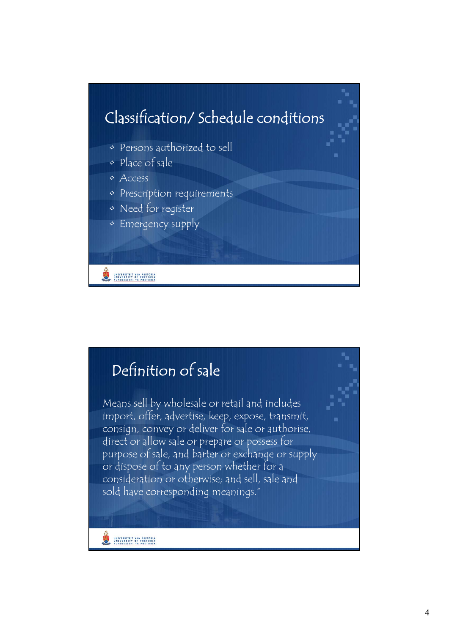

## Definition of sale Means sell by wholesale or retail and includes import, offer, advertise, keep, expose, transmit, consign, convey or deliver for sale or authorise, direct or allow sale or prepare or possess for purpose of sale, and barter or exchange or supply or dispose of to any person whether for a consideration or otherwise; and sell, sale and sold have corresponding meanings."UNIVERSITEIT VAN PRETORIA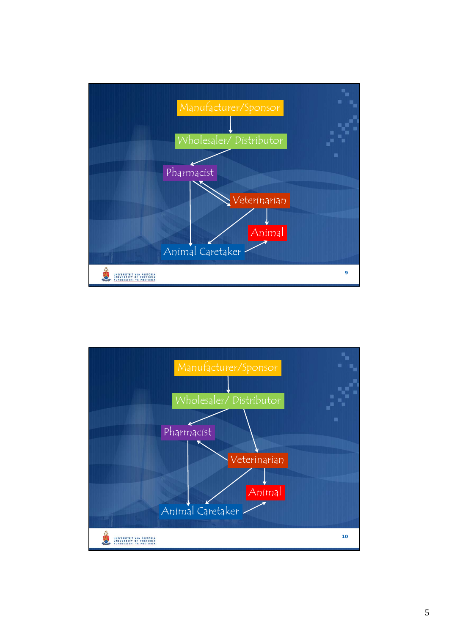

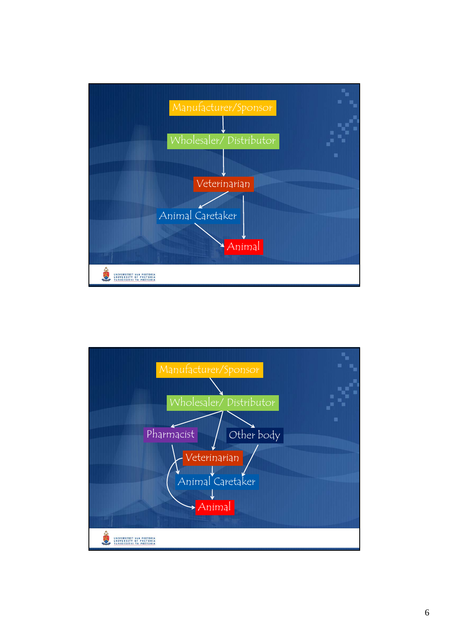

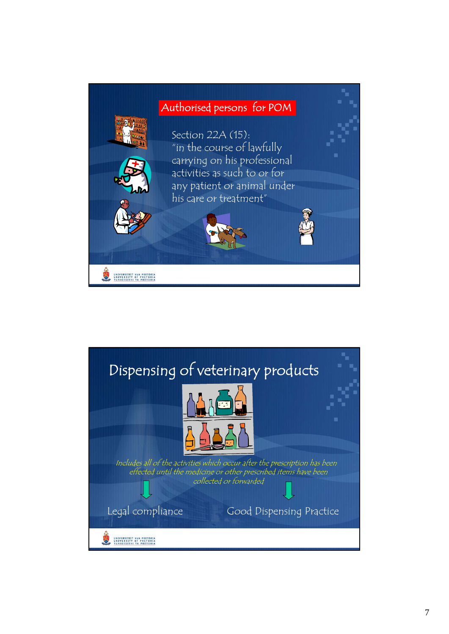

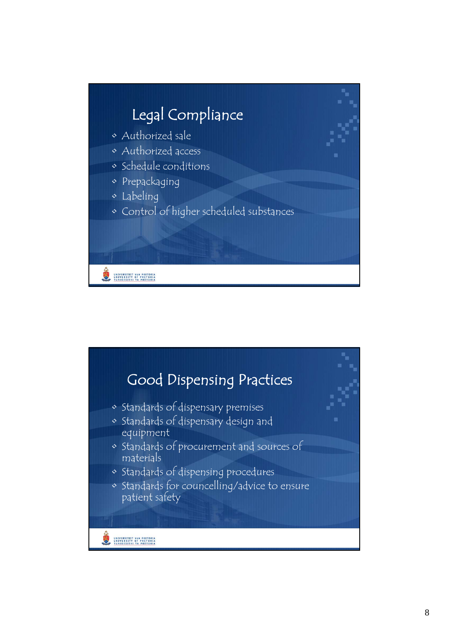

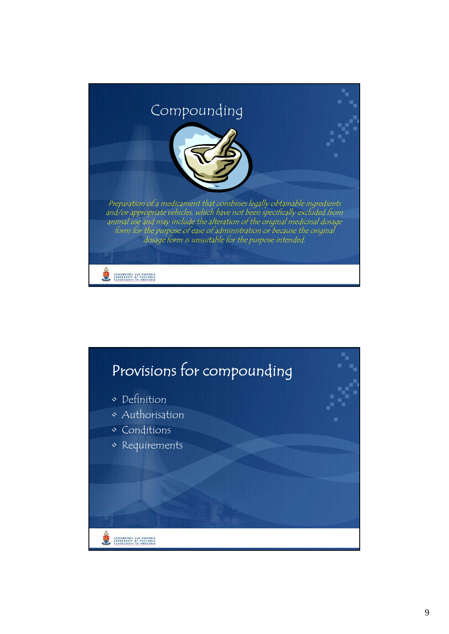

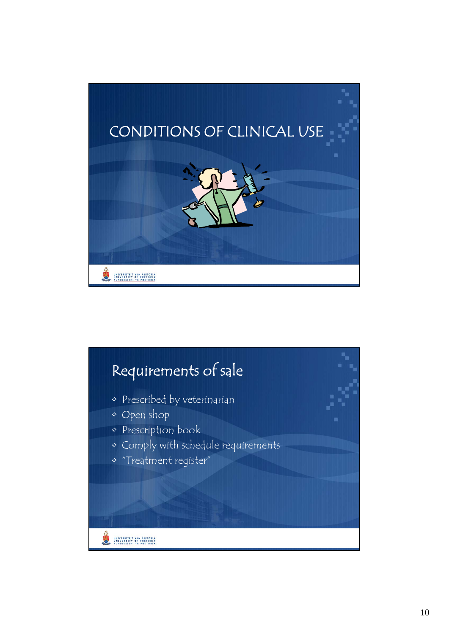

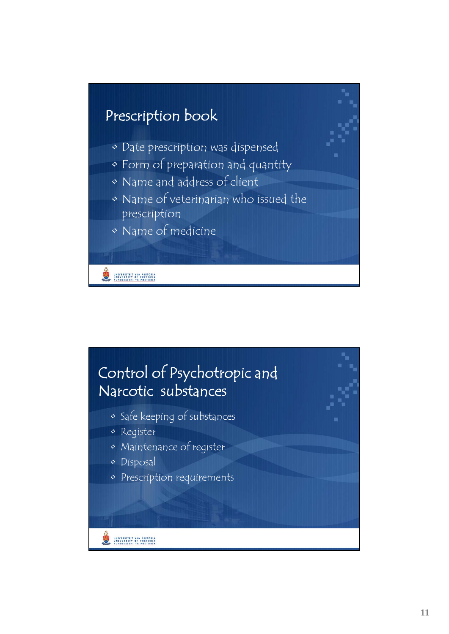

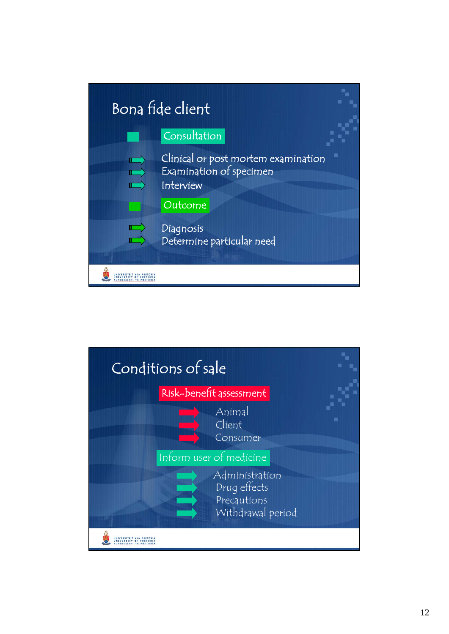

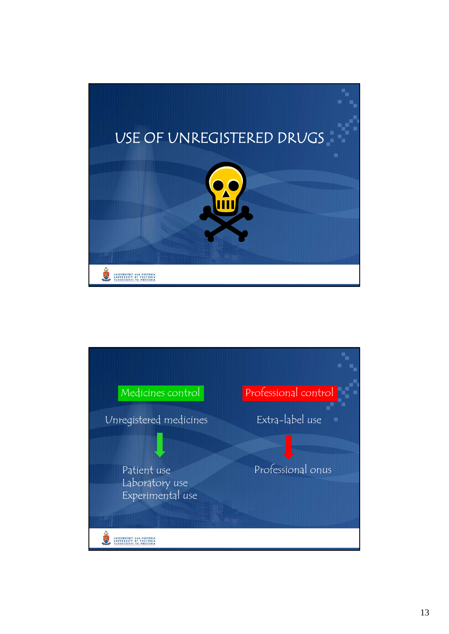